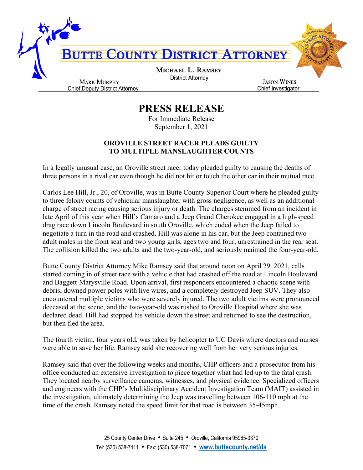

## **PRESS RELEASE**

For Immediate Release September 1, 2021

## **OROVILLE STREET RACER PLEADS GUILTY TO MULTIPLE MANSLAUGHTER COUNTS**

In a legally unusual case, an Oroville street racer today pleaded guilty to causing the deaths of three persons in a rival car even though he did not hit or touch the other car in their mutual race.

Carlos Lee Hill, Jr., 20, of Oroville, was in Butte County Superior Court where he pleaded guilty to three felony counts of vehicular manslaughter with gross negligence, as well as an additional charge of street racing causing serious injury or death. The charges stemmed from an incident in late April of this year when Hill's Camaro and a Jeep Grand Cherokee engaged in a high-speed drag race down Lincoln Boulevard in south Oroville, which ended when the Jeep failed to negotiate a turn in the road and crashed. Hill was alone in his car, but the Jeep contained two adult males in the front seat and two young girls, ages two and four, unrestrained in the rear seat. The collision killed the two adults and the two-year-old, and seriously maimed the four-year-old.

Butte County District Attorney Mike Ramsey said that around noon on April 29. 2021, calls started coming in of street race with a vehicle that had crashed off the road at Lincoln Boulevard and Baggett-Marysville Road. Upon arrival, first responders encountered a chaotic scene with debris, downed power poles with live wires, and a completely destroyed Jeep SUV. They also encountered multiple victims who were severely injured. The two adult victims were pronounced deceased at the scene, and the two-year-old was rushed to Oroville Hospital where she was declared dead. Hill had stopped his vehicle down the street and returned to see the destruction, but then fled the area.

The fourth victim, four years old, was taken by helicopter to UC Davis where doctors and nurses were able to save her life. Ramsey said she recovering well from her very serious injuries.

Ramsey said that over the following weeks and months, CHP officers and a prosecutor from his office conducted an extensive investigation to piece together what had led up to the fatal crash. They located nearby surveillance cameras, witnesses, and physical evidence. Specialized officers and engineers with the CHP's Multidisciplinary Accident Investigation Team (MAIT) assisted in the investigation, ultimately determining the Jeep was travelling between 106-110 mph at the time of the crash. Ramsey noted the speed limit for that road is between 35-45mph.